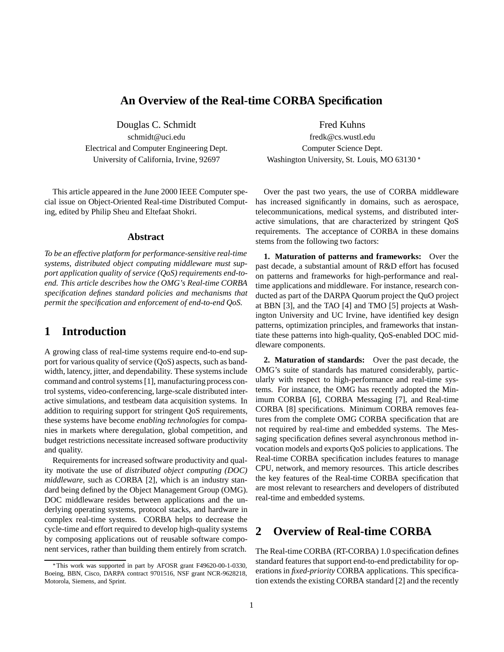### **An Overview of the Real-time CORBA Specification**

Douglas C. Schmidt Fred Kuhns schmidt@uci.edu fredk@cs.wustl.edu Electrical and Computer Engineering Dept. Computer Science Dept. University of California, Irvine, 92697 Washington University, St. Louis, MO 63130

This article appeared in the June 2000 IEEE Computer special issue on Object-Oriented Real-time Distributed Computing, edited by Philip Sheu and Eltefaat Shokri.

#### **Abstract**

*To be an effective platform for performance-sensitive real-time systems, distributed object computing middleware must support application quality of service (QoS) requirements end-toend. This article describes how the OMG's Real-time CORBA specification defines standard policies and mechanisms that permit the specification and enforcement of end-to-end QoS.*

## **1 Introduction**

A growing class of real-time systems require end-to-end support for various quality of service (QoS) aspects, such as bandwidth, latency, jitter, and dependability. These systems include command and control systems [1], manufacturing process control systems, video-conferencing, large-scale distributed interactive simulations, and testbeam data acquisition systems. In addition to requiring support for stringent QoS requirements, these systems have become *enabling technologies* for companies in markets where deregulation, global competition, and budget restrictions necessitate increased software productivity and quality.

Requirements for increased software productivity and quality motivate the use of *distributed object computing (DOC) middleware*, such as CORBA [2], which is an industry standard being defined by the Object Management Group (OMG). DOC middleware resides between applications and the underlying operating systems, protocol stacks, and hardware in complex real-time systems. CORBA helps to decrease the cycle-time and effort required to develop high-quality systems by composing applications out of reusable software component services, rather than building them entirely from scratch.

Over the past two years, the use of CORBA middleware has increased significantly in domains, such as aerospace, telecommunications, medical systems, and distributed interactive simulations, that are characterized by stringent QoS requirements. The acceptance of CORBA in these domains stems from the following two factors:

**1. Maturation of patterns and frameworks:** Over the past decade, a substantial amount of R&D effort has focused on patterns and frameworks for high-performance and realtime applications and middleware. For instance, research conducted as part of the DARPA Quorum project the QuO project at BBN [3], and the TAO [4] and TMO [5] projects at Washington University and UC Irvine, have identified key design patterns, optimization principles, and frameworks that instantiate these patterns into high-quality, QoS-enabled DOC middleware components.

**2. Maturation of standards:** Over the past decade, the OMG's suite of standards has matured considerably, particularly with respect to high-performance and real-time systems. For instance, the OMG has recently adopted the Minimum CORBA [6], CORBA Messaging [7], and Real-time CORBA [8] specifications. Minimum CORBA removes features from the complete OMG CORBA specification that are not required by real-time and embedded systems. The Messaging specification defines several asynchronous method invocation models and exports QoS policies to applications. The Real-time CORBA specification includes features to manage CPU, network, and memory resources. This article describes the key features of the Real-time CORBA specification that are most relevant to researchers and developers of distributed real-time and embedded systems.

# **2 Overview of Real-time CORBA**

The Real-time CORBA (RT-CORBA) 1.0 specification defines standard features that support end-to-end predictability for operations in *fixed-priority* CORBA applications. This specification extends the existing CORBA standard [2] and the recently

This work was supported in part by AFOSR grant F49620-00-1-0330, Boeing, BBN, Cisco, DARPA contract 9701516, NSF grant NCR-9628218, Motorola, Siemens, and Sprint.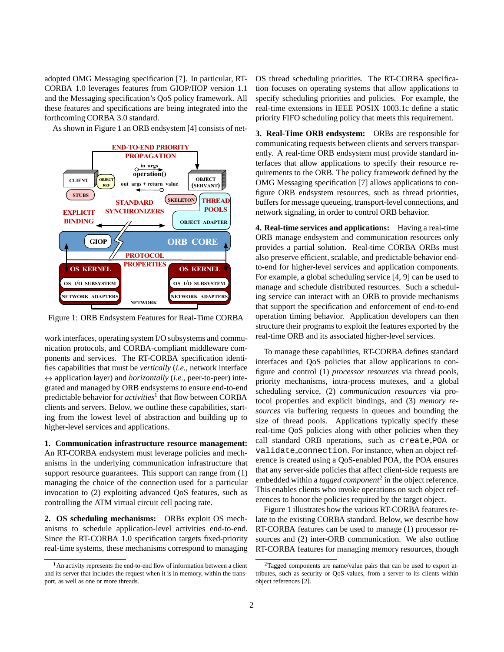adopted OMG Messaging specification [7]. In particular, RT-CORBA 1.0 leverages features from GIOP/IIOP version 1.1 and the Messaging specification's QoS policy framework. All these features and specifications are being integrated into the forthcoming CORBA 3.0 standard.

As shown in Figure 1 an ORB endsystem [4] consists of net-



Figure 1: ORB Endsystem Features for Real-Time CORBA

work interfaces, operating system I/O subsystems and communication protocols, and CORBA-compliant middleware components and services. The RT-CORBA specification identifies capabilities that must be *vertically* (*i.e.*, network interface  $\leftrightarrow$  application layer) and *horizontally* (*i.e.*, peer-to-peer) integrated and managed by ORB endsystems to ensure end-to-end predictable behavior for *activities*<sup>1</sup> that flow between CORBA clients and servers. Below, we outline these capabilities, starting from the lowest level of abstraction and building up to higher-level services and applications.

**1. Communication infrastructure resource management:** An RT-CORBA endsystem must leverage policies and mechanisms in the underlying communication infrastructure that support resource guarantees. This support can range from  $(1)$ managing the choice of the connection used for a particular invocation to (2) exploiting advanced QoS features, such as controlling the ATM virtual circuit cell pacing rate.

**2. OS scheduling mechanisms:** ORBs exploit OS mechanisms to schedule application-level activities end-to-end. Since the RT-CORBA 1.0 specification targets fixed-priority real-time systems, these mechanisms correspond to managing OS thread scheduling priorities. The RT-CORBA specification focuses on operating systems that allow applications to specify scheduling priorities and policies. For example, the real-time extensions in IEEE POSIX 1003.1c define a static priority FIFO scheduling policy that meets this requirement.

**3. Real-Time ORB endsystem:** ORBs are responsible for communicating requests between clients and servers transparently. A real-time ORB endsystem must provide standard interfaces that allow applications to specify their resource requirements to the ORB. The policy framework defined by the OMG Messaging specification [7] allows applications to configure ORB endsystem resources, such as thread priorities, buffers for message queueing, transport-level connections, and network signaling, in order to control ORB behavior.

**4. Real-time services and applications:** Having a real-time ORB manage endsystem and communication resources only provides a partial solution. Real-time CORBA ORBs must also preserve efficient, scalable, and predictable behavior endto-end for higher-level services and application components. For example, a global scheduling service [4, 9] can be used to manage and schedule distributed resources. Such a scheduling service can interact with an ORB to provide mechanisms that support the specification and enforcement of end-to-end operation timing behavior. Application developers can then structure their programs to exploit the features exported by the real-time ORB and its associated higher-level services.

To manage these capabilities, RT-CORBA defines standard interfaces and QoS policies that allow applications to configure and control (1) *processor resources* via thread pools, priority mechanisms, intra-process mutexes, and a global scheduling service, (2) *communication resources* via protocol properties and explicit bindings, and (3) *memory resources* via buffering requests in queues and bounding the size of thread pools. Applications typically specify these real-time QoS policies along with other policies when they call standard ORB operations, such as create POA or validate connection. For instance, when an object reference is created using a QoS-enabled POA, the POA ensures that any server-side policies that affect client-side requests are embedded within a *tagged component*<sup>2</sup> in the object reference. This enables clients who invoke operations on such object references to honor the policies required by the target object.

Figure 1 illustrates how the various RT-CORBA features relate to the existing CORBA standard. Below, we describe how RT-CORBA features can be used to manage (1) processor resources and (2) inter-ORB communication. We also outline RT-CORBA features for managing memory resources, though

<sup>&</sup>lt;sup>1</sup> An activity represents the end-to-end flow of information between a client and its server that includes the request when it is in memory, within the transport, as well as one or more threads.

 $2$ Tagged components are name/value pairs that can be used to export attributes, such as security or QoS values, from a server to its clients within object references [2].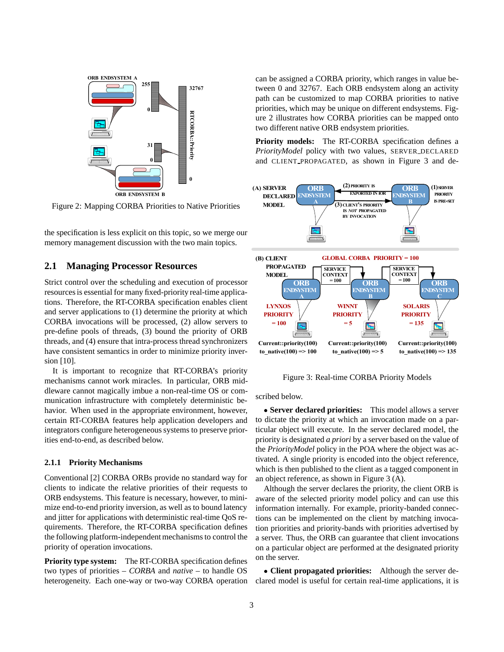

Figure 2: Mapping CORBA Priorities to Native Priorities

the specification is less explicit on this topic, so we merge our memory management discussion with the two main topics.

#### **2.1 Managing Processor Resources**

Strict control over the scheduling and execution of processor resources is essential for many fixed-priority real-time applications. Therefore, the RT-CORBA specification enables client and server applications to (1) determine the priority at which CORBA invocations will be processed, (2) allow servers to pre-define pools of threads, (3) bound the priority of ORB threads, and (4) ensure that intra-process thread synchronizers have consistent semantics in order to minimize priority inversion [10].

It is important to recognize that RT-CORBA's priority mechanisms cannot work miracles. In particular, ORB middleware cannot magically imbue a non-real-time OS or communication infrastructure with completely deterministic behavior. When used in the appropriate environment, however, certain RT-CORBA features help application developers and integrators configure heterogeneous systems to preserve priorities end-to-end, as described below.

#### **2.1.1 Priority Mechanisms**

Conventional [2] CORBA ORBs provide no standard way for clients to indicate the relative priorities of their requests to ORB endsystems. This feature is necessary, however, to minimize end-to-end priority inversion, as well as to bound latency and jitter for applications with deterministic real-time QoS requirements. Therefore, the RT-CORBA specification defines the following platform-independent mechanisms to control the priority of operation invocations.

**Priority type system:** The RT-CORBA specification defines two types of priorities – *CORBA* and *native* – to handle OS heterogeneity. Each one-way or two-way CORBA operation can be assigned a CORBA priority, which ranges in value between 0 and 32767. Each ORB endsystem along an activity path can be customized to map CORBA priorities to native priorities, which may be unique on different endsystems. Figure 2 illustrates how CORBA priorities can be mapped onto two different native ORB endsystem priorities.

**Priority models:** The RT-CORBA specification defines a *PriorityModel* policy with two values, SERVER DECLARED and CLIENT PROPAGATED, as shown in Figure 3 and de-



Figure 3: Real-time CORBA Priority Models

scribed below.

 **Server declared priorities:** This model allows a server to dictate the priority at which an invocation made on a particular object will execute. In the server declared model, the priority is designated *a priori* by a server based on the value of the *PriorityModel* policy in the POA where the object was activated. A single priority is encoded into the object reference, which is then published to the client as a tagged component in an object reference, as shown in Figure 3 (A).

Although the server declares the priority, the client ORB is aware of the selected priority model policy and can use this information internally. For example, priority-banded connections can be implemented on the client by matching invocation priorities and priority-bands with priorities advertised by a server. Thus, the ORB can guarantee that client invocations on a particular object are performed at the designated priority on the server.

 **Client propagated priorities:** Although the server declared model is useful for certain real-time applications, it is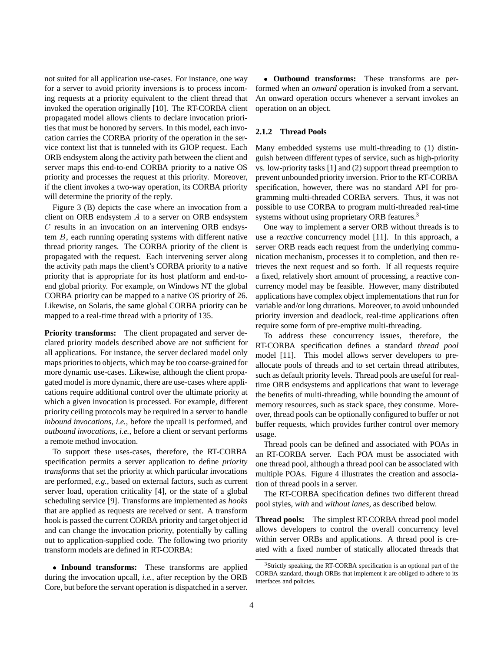not suited for all application use-cases. For instance, one way for a server to avoid priority inversions is to process incoming requests at a priority equivalent to the client thread that invoked the operation originally [10]. The RT-CORBA client propagated model allows clients to declare invocation priorities that must be honored by servers. In this model, each invocation carries the CORBA priority of the operation in the service context list that is tunneled with its GIOP request. Each ORB endsystem along the activity path between the client and server maps this end-to-end CORBA priority to a native OS priority and processes the request at this priority. Moreover, if the client invokes a two-way operation, its CORBA priority will determine the priority of the reply.

Figure 3 (B) depicts the case where an invocation from a client on ORB endsystem A to a server on ORB endsystem C results in an invocation on an intervening ORB endsystem B, each running operating systems with different native thread priority ranges. The CORBA priority of the client is propagated with the request. Each intervening server along the activity path maps the client's CORBA priority to a native priority that is appropriate for its host platform and end-toend global priority. For example, on Windows NT the global CORBA priority can be mapped to a native OS priority of 26. Likewise, on Solaris, the same global CORBA priority can be mapped to a real-time thread with a priority of 135.

**Priority transforms:** The client propagated and server declared priority models described above are not sufficient for all applications. For instance, the server declared model only maps priorities to objects, which may be too coarse-grained for more dynamic use-cases. Likewise, although the client propagated model is more dynamic, there are use-cases where applications require additional control over the ultimate priority at which a given invocation is processed. For example, different priority ceiling protocols may be required in a server to handle *inbound invocations*, *i.e.*, before the upcall is performed, and *outbound invocations*, *i.e.*, before a client or servant performs a remote method invocation.

To support these uses-cases, therefore, the RT-CORBA specification permits a server application to define *priority transforms* that set the priority at which particular invocations are performed, *e.g.*, based on external factors, such as current server load, operation criticality [4], or the state of a global scheduling service [9]. Transforms are implemented as *hooks* that are applied as requests are received or sent. A transform hook is passed the current CORBA priority and target object id and can change the invocation priority, potentially by calling out to application-supplied code. The following two priority transform models are defined in RT-CORBA:

 **Inbound transforms:** These transforms are applied during the invocation upcall, *i.e.*, after reception by the ORB Core, but before the servant operation is dispatched in a server.

 **Outbound transforms:** These transforms are performed when an *onward* operation is invoked from a servant. An onward operation occurs whenever a servant invokes an operation on an object.

#### **2.1.2 Thread Pools**

Many embedded systems use multi-threading to (1) distinguish between different types of service, such as high-priority vs. low-priority tasks [1] and (2) support thread preemption to prevent unbounded priority inversion. Prior to the RT-CORBA specification, however, there was no standard API for programming multi-threaded CORBA servers. Thus, it was not possible to use CORBA to program multi-threaded real-time systems without using proprietary ORB features.<sup>3</sup>

One way to implement a server ORB without threads is to use a *reactive* concurrency model [11]. In this approach, a server ORB reads each request from the underlying communication mechanism, processes it to completion, and then retrieves the next request and so forth. If all requests require a fixed, relatively short amount of processing, a reactive concurrency model may be feasible. However, many distributed applications have complex object implementations that run for variable and/or long durations. Moreover, to avoid unbounded priority inversion and deadlock, real-time applications often require some form of pre-emptive multi-threading.

To address these concurrency issues, therefore, the RT-CORBA specification defines a standard *thread pool* model [11]. This model allows server developers to preallocate pools of threads and to set certain thread attributes, such as default priority levels. Thread pools are useful for realtime ORB endsystems and applications that want to leverage the benefits of multi-threading, while bounding the amount of memory resources, such as stack space, they consume. Moreover, thread pools can be optionally configured to buffer or not buffer requests, which provides further control over memory usage.

Thread pools can be defined and associated with POAs in an RT-CORBA server. Each POA must be associated with one thread pool, although a thread pool can be associated with multiple POAs. Figure 4 illustrates the creation and association of thread pools in a server.

The RT-CORBA specification defines two different thread pool styles, *with* and *without lanes*, as described below.

**Thread pools:** The simplest RT-CORBA thread pool model allows developers to control the overall concurrency level within server ORBs and applications. A thread pool is created with a fixed number of statically allocated threads that

<sup>&</sup>lt;sup>3</sup>Strictly speaking, the RT-CORBA specification is an optional part of the CORBA standard, though ORBs that implement it are obliged to adhere to its interfaces and policies.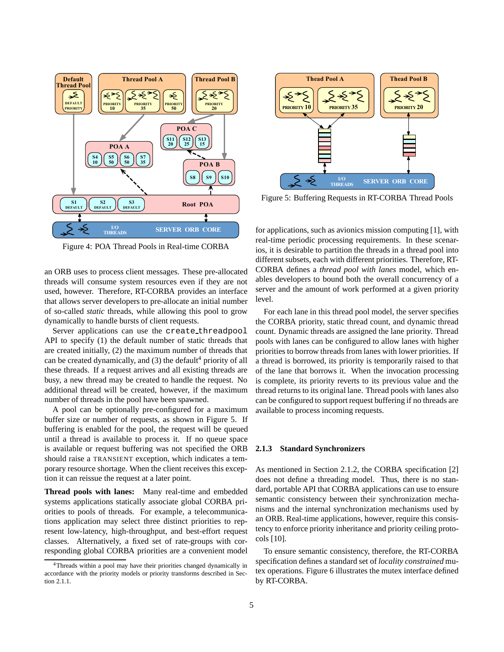

Figure 4: POA Thread Pools in Real-time CORBA

an ORB uses to process client messages. These pre-allocated threads will consume system resources even if they are not used, however. Therefore, RT-CORBA provides an interface that allows server developers to pre-allocate an initial number of so-called *static* threads, while allowing this pool to grow dynamically to handle bursts of client requests.

Server applications can use the create threadpool API to specify (1) the default number of static threads that are created initially, (2) the maximum number of threads that can be created dynamically, and  $(3)$  the default<sup>4</sup> priority of all these threads. If a request arrives and all existing threads are busy, a new thread may be created to handle the request. No additional thread will be created, however, if the maximum number of threads in the pool have been spawned.

A pool can be optionally pre-configured for a maximum buffer size or number of requests, as shown in Figure 5. If buffering is enabled for the pool, the request will be queued until a thread is available to process it. If no queue space is available or request buffering was not specified the ORB should raise a TRANSIENT exception, which indicates a temporary resource shortage. When the client receives this exception it can reissue the request at a later point.

**Thread pools with lanes:** Many real-time and embedded systems applications statically associate global CORBA priorities to pools of threads. For example, a telecommunications application may select three distinct priorities to represent low-latency, high-throughput, and best-effort request classes. Alternatively, a fixed set of rate-groups with corresponding global CORBA priorities are a convenient model



Figure 5: Buffering Requests in RT-CORBA Thread Pools

for applications, such as avionics mission computing [1], with real-time periodic processing requirements. In these scenarios, it is desirable to partition the threads in a thread pool into different subsets, each with different priorities. Therefore, RT-CORBA defines a *thread pool with lanes* model, which enables developers to bound both the overall concurrency of a server and the amount of work performed at a given priority level.

For each lane in this thread pool model, the server specifies the CORBA priority, static thread count, and dynamic thread count. Dynamic threads are assigned the lane priority. Thread pools with lanes can be configured to allow lanes with higher priorities to borrow threads from lanes with lower priorities. If a thread is borrowed, its priority is temporarily raised to that of the lane that borrows it. When the invocation processing is complete, its priority reverts to its previous value and the thread returns to its original lane. Thread pools with lanes also can be configured to support request buffering if no threads are available to process incoming requests.

#### **2.1.3 Standard Synchronizers**

As mentioned in Section 2.1.2, the CORBA specification [2] does not define a threading model. Thus, there is no standard, portable API that CORBA applications can use to ensure semantic consistency between their synchronization mechanisms and the internal synchronization mechanisms used by an ORB. Real-time applications, however, require this consistency to enforce priority inheritance and priority ceiling protocols [10].

To ensure semantic consistency, therefore, the RT-CORBA specification defines a standard set of *locality constrained* mutex operations. Figure 6 illustrates the mutex interface defined by RT-CORBA.

<sup>4</sup>Threads within a pool may have their priorities changed dynamically in accordance with the priority models or priority transforms described in Section 2.1.1.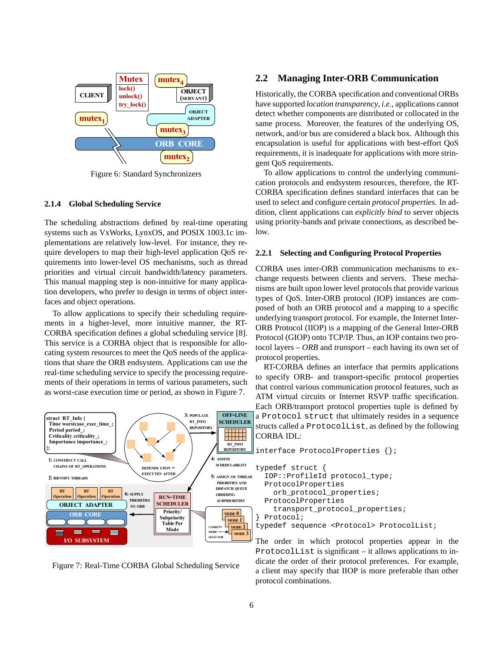

Figure 6: Standard Synchronizers

#### **2.1.4 Global Scheduling Service**

The scheduling abstractions defined by real-time operating systems such as VxWorks, LynxOS, and POSIX 1003.1c implementations are relatively low-level. For instance, they require developers to map their high-level application QoS requirements into lower-level OS mechanisms, such as thread priorities and virtual circuit bandwidth/latency parameters. This manual mapping step is non-intuitive for many application developers, who prefer to design in terms of object interfaces and object operations.

To allow applications to specify their scheduling requirements in a higher-level, more intuitive manner, the RT-CORBA specification defines a global scheduling service [8]. This service is a CORBA object that is responsible for allocating system resources to meet the QoS needs of the applications that share the ORB endsystem. Applications can use the real-time scheduling service to specify the processing requirements of their operations in terms of various parameters, such as worst-case execution time or period, as shown in Figure 7.



Figure 7: Real-Time CORBA Global Scheduling Service

#### **2.2 Managing Inter-ORB Communication**

Historically, the CORBA specification and conventional ORBs have supported *location transparency*, *i.e.*, applications cannot detect whether components are distributed or collocated in the same process. Moreover, the features of the underlying OS, network, and/or bus are considered a black box. Although this encapsulation is useful for applications with best-effort QoS requirements, it is inadequate for applications with more stringent QoS requirements.

To allow applications to control the underlying communication protocols and endsystem resources, therefore, the RT-CORBA specification defines standard interfaces that can be used to select and configure certain *protocol properties*. In addition, client applications can *explicitly bind* to server objects using priority-bands and private connections, as described below.

#### **2.2.1 Selecting and Configuring Protocol Properties**

CORBA uses inter-ORB communication mechanisms to exchange requests between clients and servers. These mechanisms are built upon lower level protocols that provide various types of QoS. Inter-ORB protocol (IOP) instances are composed of both an ORB protocol and a mapping to a specific underlying transport protocol. For example, the Internet Inter-ORB Protocol (IIOP) is a mapping of the General Inter-ORB Protocol (GIOP) onto TCP/IP. Thus, an IOP contains two protocol layers – *ORB* and *transport* – each having its own set of protocol properties.

RT-CORBA defines an interface that permits applications to specify ORB- and transport-specific protocol properties that control various communication protocol features, such as ATM virtual circuits or Internet RSVP traffic specification. Each ORB/transport protocol properties tuple is defined by a Protocol struct that ultimately resides in a sequence structs called a ProtocolList, as defined by the following CORBA IDL:

```
interface ProtocolProperties {};
typedef struct {
 IOP::ProfileId protocol_type;
  ProtocolProperties
    orb_protocol_properties;
  ProtocolProperties
    transport_protocol_properties;
 Protocol;
typedef sequence <Protocol> ProtocolList;
```
The order in which protocol properties appear in the ProtocolList is significant – it allows applications to indicate the order of their protocol preferences. For example, a client may specify that IIOP is more preferable than other protocol combinations.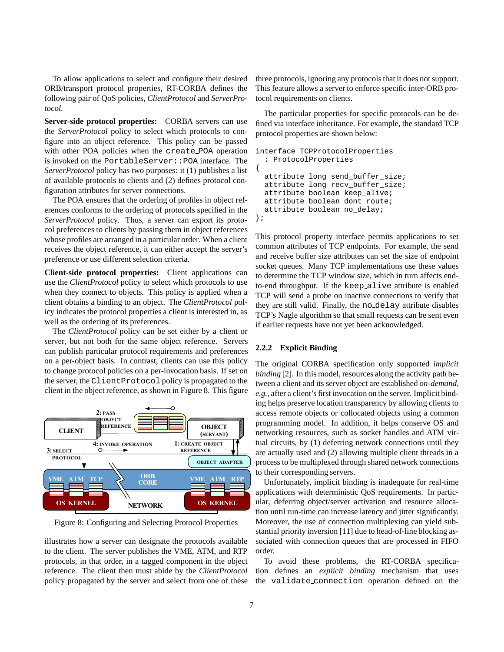To allow applications to select and configure their desired ORB/transport protocol properties, RT-CORBA defines the following pair of QoS policies, *ClientProtocol* and *ServerProtocol*.

**Server-side protocol properties:** CORBA servers can use the *ServerProtocol* policy to select which protocols to configure into an object reference. This policy can be passed with other POA policies when the create POA operation is invoked on the PortableServer::POA interface. The *ServerProtocol* policy has two purposes: it (1) publishes a list of available protocols to clients and (2) defines protocol configuration attributes for server connections.

The POA ensures that the ordering of profiles in object references conforms to the ordering of protocols specified in the *ServerProtocol* policy. Thus, a server can export its protocol preferences to clients by passing them in object references whose profiles are arranged in a particular order. When a client receives the object reference, it can either accept the server's preference or use different selection criteria.

**Client-side protocol properties:** Client applications can use the *ClientProtocol* policy to select which protocols to use when they connect to objects. This policy is applied when a client obtains a binding to an object. The *ClientProtocol* policy indicates the protocol properties a client is interested in, as well as the ordering of its preferences.

The *ClientProtocol* policy can be set either by a client or server, but not both for the same object reference. Servers can publish particular protocol requirements and preferences on a per-object basis. In contrast, clients can use this policy to change protocol policies on a per-invocation basis. If set on the server, the ClientProtocol policy is propagated to the client in the object reference, as shown in Figure 8. This figure



Figure 8: Configuring and Selecting Protocol Properties

illustrates how a server can designate the protocols available to the client. The server publishes the VME, ATM, and RTP protocols, in that order, in a tagged component in the object reference. The client then must abide by the *ClientProtocol* policy propagated by the server and select from one of these three protocols, ignoring any protocols that it does not support. This feature allows a server to enforce specific inter-ORB protocol requirements on clients.

The particular properties for specific protocols can be defined via interface inheritance. For example, the standard TCP protocol properties are shown below:

```
interface TCPProtocolProperties
  : ProtocolProperties
{
  attribute long send buffer size;
  attribute long recv_buffer_size;
  attribute boolean keep_alive;
  attribute boolean dont_route;
  attribute boolean no_delay;
};
```
This protocol property interface permits applications to set common attributes of TCP endpoints. For example, the send and receive buffer size attributes can set the size of endpoint socket queues. Many TCP implementations use these values to determine the TCP window size, which in turn affects endto-end throughput. If the keep alive attribute is enabled TCP will send a probe on inactive connections to verify that they are still valid. Finally, the no delay attribute disables TCP's Nagle algorithm so that small requests can be sent even if earlier requests have not yet been acknowledged.

#### **2.2.2 Explicit Binding**

The original CORBA specification only supported *implicit binding* [2]. In this model, resources along the activity path between a client and its server object are established *on-demand*, *e.g.*, after a client's first invocation on the server. Implicit binding helps preserve location transparency by allowing clients to access remote objects or collocated objects using a common programming model. In addition, it helps conserve OS and networking resources, such as socket handles and ATM virtual circuits, by (1) deferring network connections until they are actually used and (2) allowing multiple client threads in a process to be multiplexed through shared network connections to their corresponding servers.

Unfortunately, implicit binding is inadequate for real-time applications with deterministic QoS requirements. In particular, deferring object/server activation and resource allocation until run-time can increase latency and jitter significantly. Moreover, the use of connection multiplexing can yield substantial priority inversion [11] due to head-of-line blocking associated with connection queues that are processed in FIFO order.

To avoid these problems, the RT-CORBA specification defines an *explicit binding* mechanism that uses the validate connection operation defined on the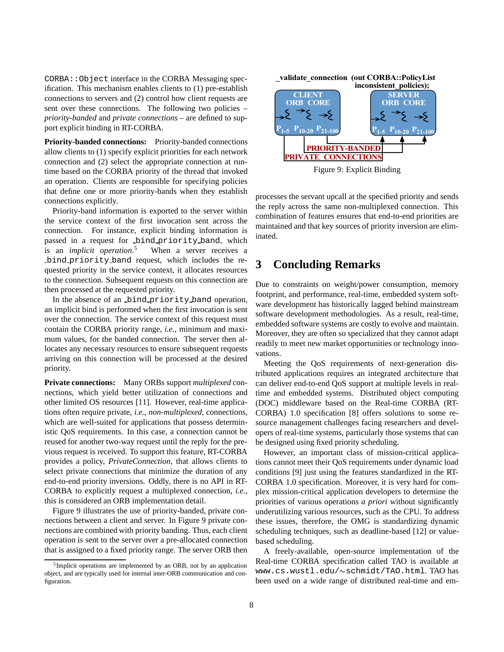CORBA::Object interface in the CORBA Messaging specification. This mechanism enables clients to (1) pre-establish connections to servers and (2) control how client requests are sent over these connections. The following two policies – *priority-banded* and *private connections* – are defined to support explicit binding in RT-CORBA.

**Priority-banded connections:** Priority-banded connections allow clients to (1) specify explicit priorities for each network connection and (2) select the appropriate connection at runtime based on the CORBA priority of the thread that invoked an operation. Clients are responsible for specifying policies that define one or more priority-bands when they establish connections explicitly.

Priority-band information is exported to the server within the service context of the first invocation sent across the connection. For instance, explicit binding information is passed in a request for bind priority band, which is an *implicit operation*. When a server receives a bind priority band request, which includes the requested priority in the service context, it allocates resources to the connection. Subsequent requests on this connection are then processed at the requested priority.

In the absence of an bind priority band operation, an implicit bind is performed when the first invocation is sent over the connection. The service context of this request must contain the CORBA priority range, *i.e.*, minimum and maximum values, for the banded connection. The server then allocates any necessary resources to ensure subsequent requests arriving on this connection will be processed at the desired priority.

**Private connections:** Many ORBs support *multiplexed* connections, which yield better utilization of connections and other limited OS resources [11]. However, real-time applications often require private, *i.e.*, *non-multiplexed*, connections, which are well-suited for applications that possess deterministic QoS requirements. In this case, a connection cannot be reused for another two-way request until the reply for the previous request is received. To support this feature, RT-CORBA provides a policy, *PrivateConnection*, that allows clients to select private connections that minimize the duration of any end-to-end priority inversions. Oddly, there is no API in RT-CORBA to explicitly request a multiplexed connection, *i.e.*, this is considered an ORB implementation detail.

Figure 9 illustrates the use of priority-banded, private connections between a client and server. In Figure 9 private connections are combined with priority banding. Thus, each client operation is sent to the server over a pre-allocated connection that is assigned to a fixed priority range. The server ORB then



Figure 9: Explicit Binding

processes the servant upcall at the specified priority and sends the reply across the same non-multiplexed connection. This combination of features ensures that end-to-end priorities are maintained and that key sources of priority inversion are eliminated.

# **3 Concluding Remarks**

Due to constraints on weight/power consumption, memory footprint, and performance, real-time, embedded system software development has historically lagged behind mainstream software development methodologies. As a result, real-time, embedded software systems are costly to evolve and maintain. Moreover, they are often so specialized that they cannot adapt readily to meet new market opportunities or technology innovations.

Meeting the QoS requirements of next-generation distributed applications requires an integrated architecture that can deliver end-to-end QoS support at multiple levels in realtime and embedded systems. Distributed object computing (DOC) middleware based on the Real-time CORBA (RT-CORBA) 1.0 specification [8] offers solutions to some resource management challenges facing researchers and developers of real-time systems, particularly those systems that can be designed using fixed priority scheduling.

However, an important class of mission-critical applications cannot meet their QoS requirements under dynamic load conditions [9] just using the features standardized in the RT-CORBA 1.0 specification. Moreover, it is very hard for complex mission-critical application developers to determine the priorities of various operations *a priori* without significantly underutilizing various resources, such as the CPU. To address these issues, therefore, the OMG is standardizing dynamic scheduling techniques, such as deadline-based [12] or valuebased scheduling.

A freely-available, open-source implementation of the Real-time CORBA specification called TAO is available at www.cs.wustl.edu/~schmidt/TAO.html.TAO has been used on a wide range of distributed real-time and em-

 $5$ Implicit operations are implemented by an ORB, not by an application object, and are typically used for internal inter-ORB communication and configuration.